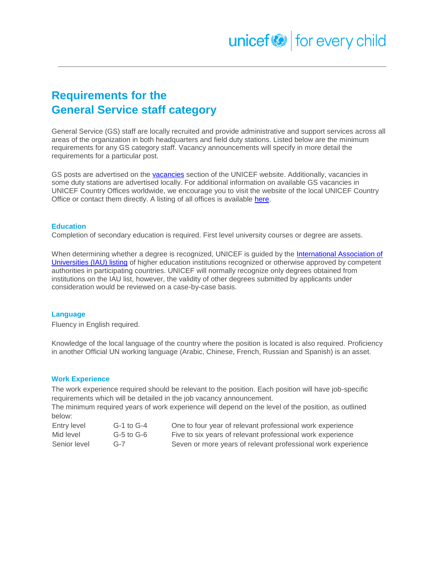# **Requirements for the General Service staff category**

General Service (GS) staff are locally recruited and provide administrative and support services across all areas of the organization in both headquarters and field duty stations. Listed below are the minimum requirements for any GS category staff. Vacancy announcements will specify in more detail the requirements for a particular post.

GS posts are advertised on the [vacancies](https://www.unicef.org/about/employ/) section of the UNICEF website. Additionally, vacancies in some duty stations are advertised locally. For additional information on available GS vacancies in UNICEF Country Offices worldwide, we encourage you to visit the website of the local UNICEF Country Office or contact them directly. A listing of all offices is available [here.](https://www.unicef.org/about/structure/index_worldcontact.html)

#### **Education**

Completion of secondary education is required. First level university courses or degree are assets.

When determining whether a degree is recognized, UNICEF is guided by the [International Association of](http://whed.net/home.php)  [Universities \(IAU\) listing](http://whed.net/home.php) of higher education institutions recognized or otherwise approved by competent authorities in participating countries. UNICEF will normally recognize only degrees obtained from institutions on the IAU list, however, the validity of other degrees submitted by applicants under consideration would be reviewed on a case-by-case basis.

## **Language**

Fluency in English required.

Knowledge of the local language of the country where the position is located is also required. Proficiency in another Official UN working language (Arabic, Chinese, French, Russian and Spanish) is an asset.

#### **Work Experience**

The work experience required should be relevant to the position. Each position will have job-specific requirements which will be detailed in the job vacancy announcement.

The minimum required years of work experience will depend on the level of the position, as outlined below:

| Entry level  | G-1 to G-4     | One to four year of relevant professional work experience    |
|--------------|----------------|--------------------------------------------------------------|
| Mid level    | $G-5$ to $G-6$ | Five to six years of relevant professional work experience   |
| Senior level | $G-7$          | Seven or more years of relevant professional work experience |